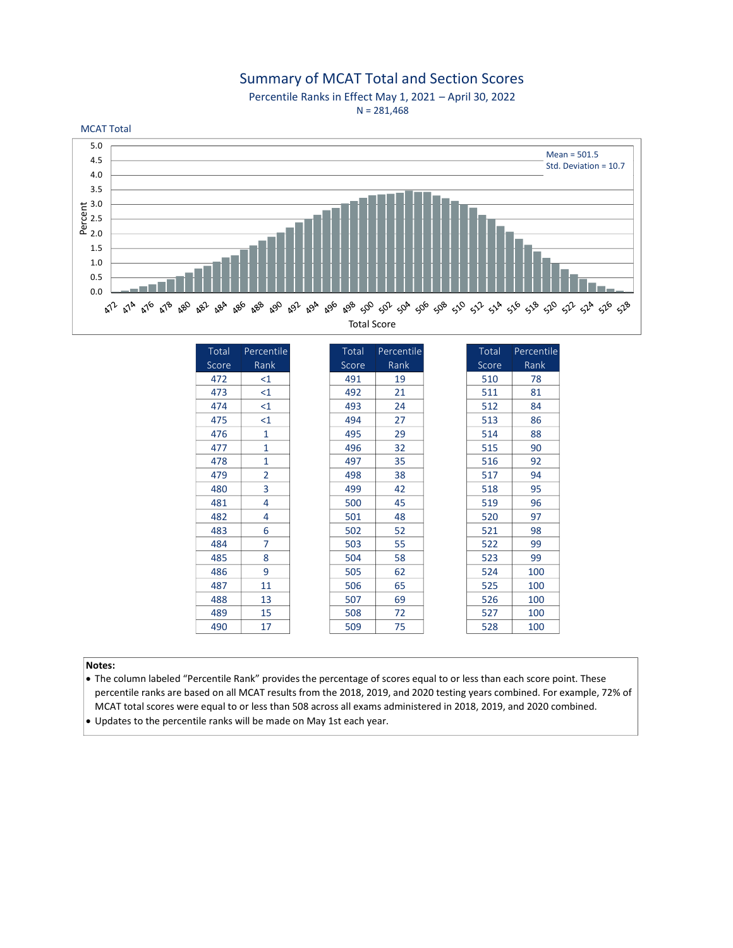## Summary of MCAT Total and Section Scores

Percentile Ranks in Effect May 1, 2021 – April 30, 2022  $N = 281,468$ 



| Rank<br>Score<br>78<br>510<br>511<br>81<br>512<br>84<br>513<br>86<br>514<br>88<br>90<br>515<br>516<br>92<br>94<br>517<br>518<br>95<br>519<br>96<br>97<br>520<br>98<br>521 |
|---------------------------------------------------------------------------------------------------------------------------------------------------------------------------|
|                                                                                                                                                                           |
|                                                                                                                                                                           |
|                                                                                                                                                                           |
|                                                                                                                                                                           |
|                                                                                                                                                                           |
|                                                                                                                                                                           |
|                                                                                                                                                                           |
|                                                                                                                                                                           |
|                                                                                                                                                                           |
|                                                                                                                                                                           |
|                                                                                                                                                                           |
|                                                                                                                                                                           |
|                                                                                                                                                                           |
| 99<br>522                                                                                                                                                                 |
| 523<br>99                                                                                                                                                                 |
| 524<br>100                                                                                                                                                                |
| 525<br>100                                                                                                                                                                |
| 526<br>100                                                                                                                                                                |
| 527<br>100                                                                                                                                                                |
| 528<br>100                                                                                                                                                                |
|                                                                                                                                                                           |
|                                                                                                                                                                           |
| . The column labeled "Percentile Rank" provides the percentage of scores equal to or less than each score point. These                                                    |
| percentile ranks are based on all MCAT results from the 2018, 2019, and 2020 testing years combined. For example, 72% of                                                  |
| MCAT total scores were equal to or less than 508 across all exams administered in 2018, 2019, and 2020 combined.                                                          |
|                                                                                                                                                                           |
|                                                                                                                                                                           |

Notes: